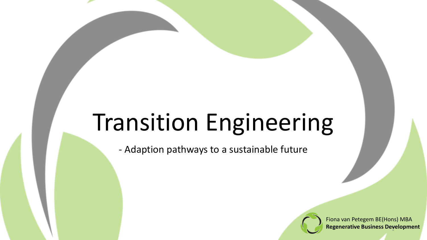# Transition Engineering

- Adaption pathways to a sustainable future



1 **Regenerative Business Development**Fiona van Petegem BE(Hons) MBA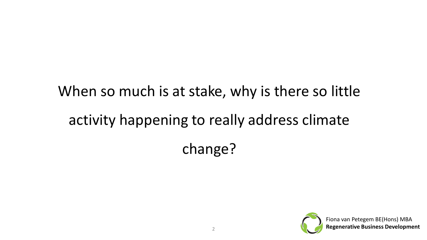## When so much is at stake, why is there so little activity happening to really address climate change?

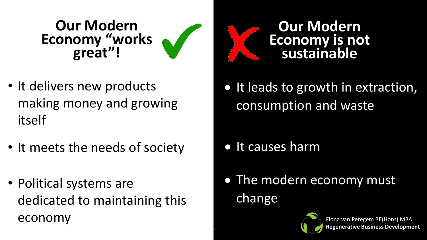### **Our Modern Economy "works great"!**



- It delivers new products making money and growing itself
- It meets the needs of society
- Political systems are dedicated to maintaining this economy



• It leads to growth in extraction, consumption and waste

- It causes harm
- The modern economy must change



Fiona van Petegem BE(Hons) MBA **Regenerative Business Development**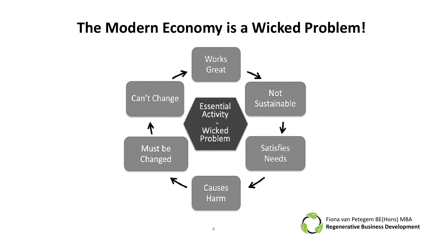### The Modern **The Modern Economy is a Wicked Problem!**

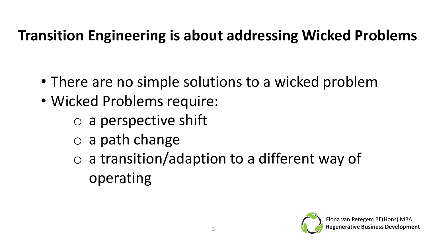#### $\frac{1}{2}$ essing wicked Prot **Transition Engineering is about addressing Wicked Problems**

- There are no simple solutions to a wicked problem
- Wicked Problems require:
	- o a perspective shift
	- $\circ$  a path change
	- o a transition/adaption to a different way of operating

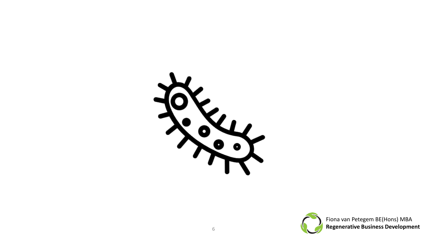

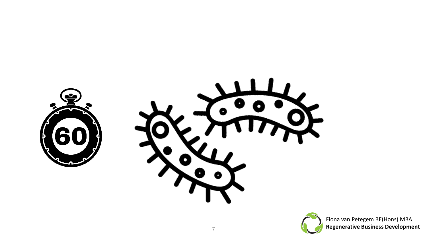



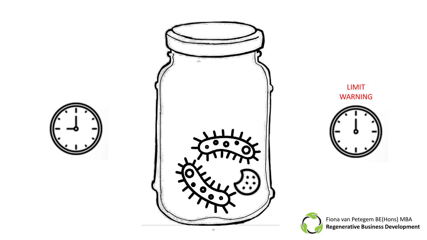





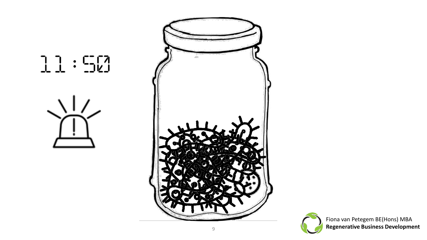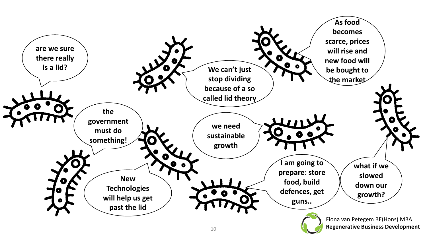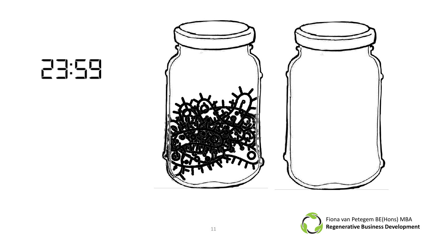



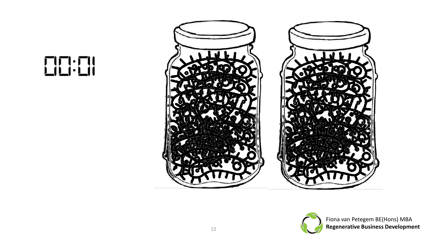





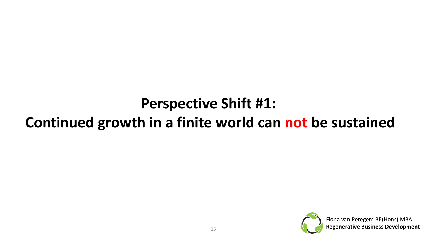### **Perspective Shift #1: Continued growth in a finite world can not be sustained**

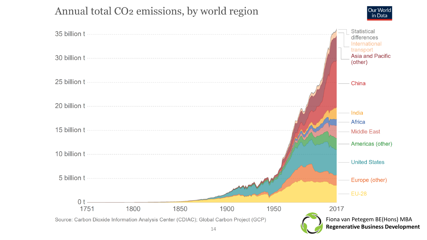#### Annual total CO<sub>2</sub> emissions, by world region



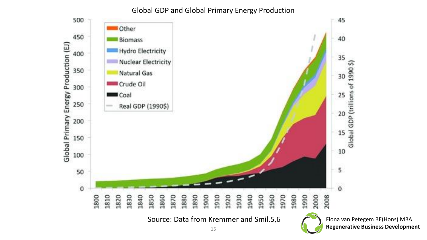Global GDP and Global Primary Energy Production



Fiona van Petegem BE(Hons) MBA **Regenerative Business Development**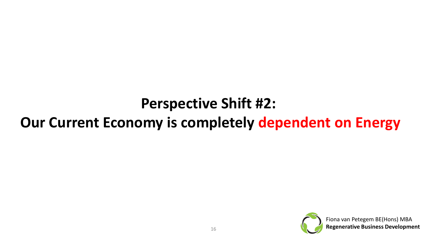### **Perspective Shift #2: Our Current Economy is completely dependent on Energy**

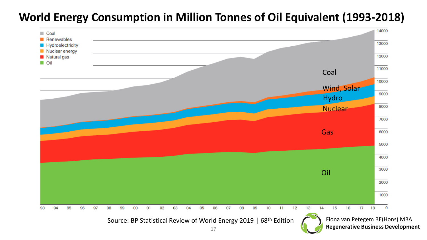#### **World Energy Consumption in Million Tonnes of Oil Equivalent (1993-2018)**

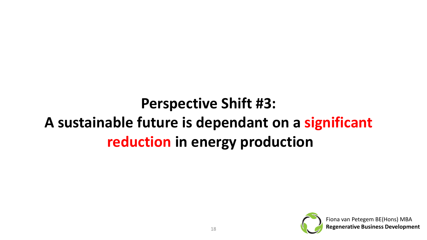## **Perspective Shift #3: A sustainable future is dependant on a significant reduction in energy production**

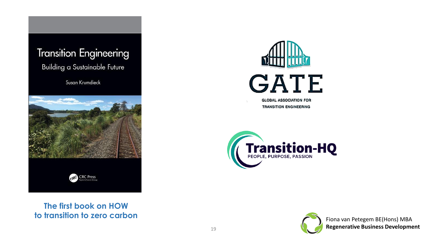



**The first book on HOW to transition to zero carbon**







Fiona van Petegem BE(Hons) MBA **Regenerative Business Development**